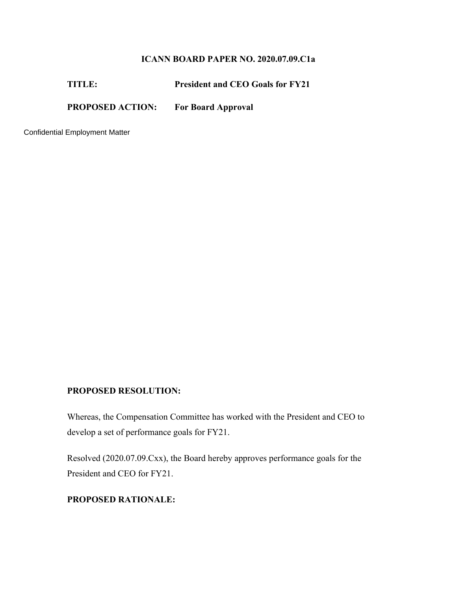## **ICANN BOARD PAPER NO. 2020.07.09.C1a**

| <b>TITLE:</b>           | <b>President and CEO Goals for FY21</b> |
|-------------------------|-----------------------------------------|
| <b>PROPOSED ACTION:</b> | <b>For Board Approval</b>               |

Confidential Employment Matter

## **PROPOSED RESOLUTION:**

Whereas, the Compensation Committee has worked with the President and CEO to develop a set of performance goals for FY21.

Resolved (2020.07.09.Cxx), the Board hereby approves performance goals for the President and CEO for FY21.

## **PROPOSED RATIONALE:**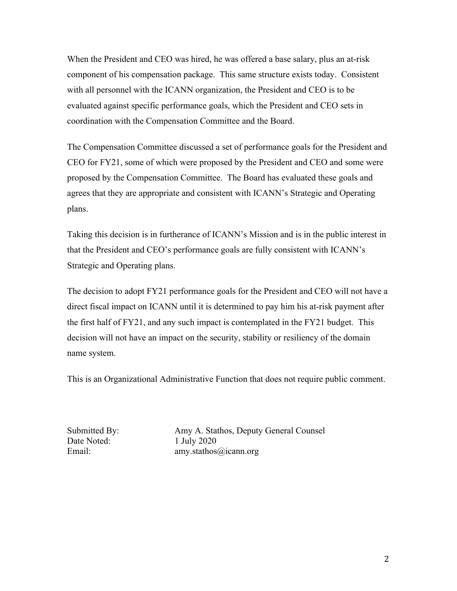When the President and CEO was hired, he was offered a base salary, plus an at-risk component of his compensation package. This same structure exists today. Consistent with all personnel with the ICANN organization, the President and CEO is to be evaluated against specific performance goals, which the President and CEO sets in coordination with the Compensation Committee and the Board.

The Compensation Committee discussed a set of performance goals for the President and CEO for FY21, some of which were proposed by the President and CEO and some were proposed by the Compensation Committee. The Board has evaluated these goals and agrees that they are appropriate and consistent with ICANN's Strategic and Operating plans.

Taking this decision is in furtherance of ICANN's Mission and is in the public interest in that the President and CEO's performance goals are fully consistent with ICANN's Strategic and Operating plans.

The decision to adopt FY21 performance goals for the President and CEO will not have a direct fiscal impact on ICANN until it is determined to pay him his at-risk payment after the first half of FY21, and any such impact is contemplated in the FY21 budget. This decision will not have an impact on the security, stability or resiliency of the domain name system.

This is an Organizational Administrative Function that does not require public comment.

Date Noted: 1 July 2020

Submitted By: Amy A. Stathos, Deputy General Counsel Email: amy.stathos@icann.org